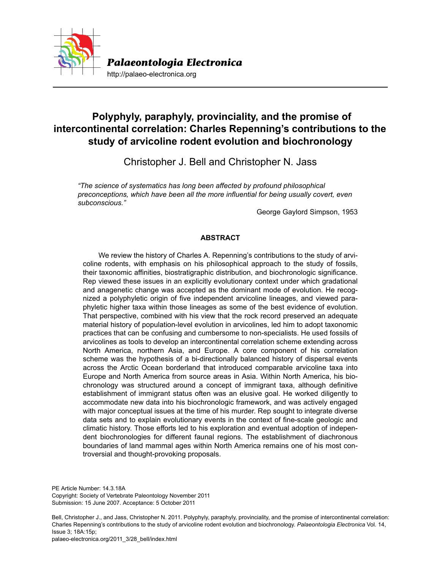

http://palaeo-electronica.org

# **Polyphyly, paraphyly, provinciality, and the promise of intercontinental correlation: Charles Repenning's contributions to the study of arvicoline rodent evolution and biochronology**

Christopher J. Bell and Christopher N. Jass

*"The science of systematics has long been affected by profound philosophical preconceptions, which have been all the more influential for being usually covert, even subconscious."* 

George Gaylord Simpson, 1953

# **ABSTRACT**

We review the history of Charles A. Repenning's contributions to the study of arvicoline rodents, with emphasis on his philosophical approach to the study of fossils, their taxonomic affinities, biostratigraphic distribution, and biochronologic significance. Rep viewed these issues in an explicitly evolutionary context under which gradational and anagenetic change was accepted as the dominant mode of evolution. He recognized a polyphyletic origin of five independent arvicoline lineages, and viewed paraphyletic higher taxa within those lineages as some of the best evidence of evolution. That perspective, combined with his view that the rock record preserved an adequate material history of population-level evolution in arvicolines, led him to adopt taxonomic practices that can be confusing and cumbersome to non-specialists. He used fossils of arvicolines as tools to develop an intercontinental correlation scheme extending across North America, northern Asia, and Europe. A core component of his correlation scheme was the hypothesis of a bi-directionally balanced history of dispersal events across the Arctic Ocean borderland that introduced comparable arvicoline taxa into Europe and North America from source areas in Asia. Within North America, his biochronology was structured around a concept of immigrant taxa, although definitive establishment of immigrant status often was an elusive goal. He worked diligently to accommodate new data into his biochronologic framework, and was actively engaged with major conceptual issues at the time of his murder. Rep sought to integrate diverse data sets and to explain evolutionary events in the context of fine-scale geologic and climatic history. Those efforts led to his exploration and eventual adoption of independent biochronologies for different faunal regions. The establishment of diachronous boundaries of land mammal ages within North America remains one of his most controversial and thought-provoking proposals.

PE Article Number: 14.3.18A Copyright: Society of Vertebrate Paleontology November 2011 Submission: 15 June 2007. Acceptance: 5 October 2011

Bell, Christopher J., and Jass, Christopher N. 2011. Polyphyly, paraphyly, provinciality, and the promise of intercontinental correlation: Charles Repenning's contributions to the study of arvicoline rodent evolution and biochronology. *Palaeontologia Electronica* Vol. 14, Issue 3; 18A:15p;

palaeo-electronica.org/2011\_3/28\_bell/index.html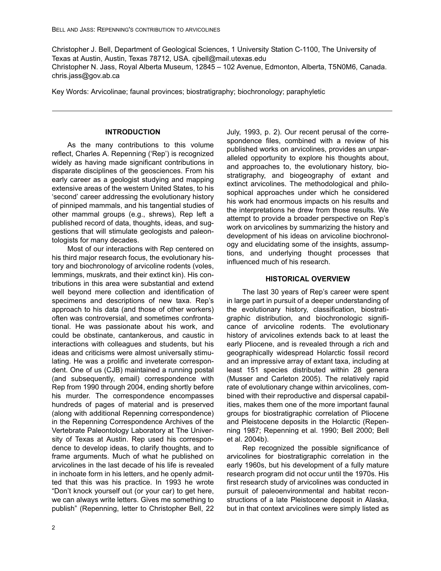Christopher J. Bell, Department of Geological Sciences, 1 University Station C-1100, The University of Texas at Austin, Austin, Texas 78712, USA. cjbell@mail.utexas.edu Christopher N. Jass, Royal Alberta Museum, 12845 – 102 Avenue, Edmonton, Alberta, T5N0M6, Canada. chris.jass@gov.ab.ca

Key Words: Arvicolinae; faunal provinces; biostratigraphy; biochronology; paraphyletic

#### **INTRODUCTION**

As the many contributions to this volume reflect, Charles A. Repenning ('Rep') is recognized widely as having made significant contributions in disparate disciplines of the geosciences. From his early career as a geologist studying and mapping extensive areas of the western United States, to his 'second' career addressing the evolutionary history of pinniped mammals, and his tangential studies of other mammal groups (e.g., shrews), Rep left a published record of data, thoughts, ideas, and suggestions that will stimulate geologists and paleontologists for many decades.

Most of our interactions with Rep centered on his third major research focus, the evolutionary history and biochronology of arvicoline rodents (voles, lemmings, muskrats, and their extinct kin). His contributions in this area were substantial and extend well beyond mere collection and identification of specimens and descriptions of new taxa. Rep's approach to his data (and those of other workers) often was controversial, and sometimes confrontational. He was passionate about his work, and could be obstinate, cantankerous, and caustic in interactions with colleagues and students, but his ideas and criticisms were almost universally stimulating. He was a prolific and inveterate correspondent. One of us (CJB) maintained a running postal (and subsequently, email) correspondence with Rep from 1990 through 2004, ending shortly before his murder. The correspondence encompasses hundreds of pages of material and is preserved (along with additional Repenning correspondence) in the Repenning Correspondence Archives of the Vertebrate Paleontology Laboratory at The University of Texas at Austin. Rep used his correspondence to develop ideas, to clarify thoughts, and to frame arguments. Much of what he published on arvicolines in the last decade of his life is revealed in inchoate form in his letters, and he openly admitted that this was his practice. In 1993 he wrote "Don't knock yourself out (or your car) to get here, we can always write letters. Gives me something to publish" (Repenning, letter to Christopher Bell, 22

July, 1993, p. 2). Our recent perusal of the correspondence files, combined with a review of his published works on arvicolines, provides an unparalleled opportunity to explore his thoughts about, and approaches to, the evolutionary history, biostratigraphy, and biogeography of extant and extinct arvicolines. The methodological and philosophical approaches under which he considered his work had enormous impacts on his results and the interpretations he drew from those results. We attempt to provide a broader perspective on Rep's work on arvicolines by summarizing the history and development of his ideas on arvicoline biochronology and elucidating some of the insights, assumptions, and underlying thought processes that influenced much of his research.

#### **HISTORICAL OVERVIEW**

The last 30 years of Rep's career were spent in large part in pursuit of a deeper understanding of the evolutionary history, classification, biostratigraphic distribution, and biochronologic significance of arvicoline rodents. The evolutionary history of arvicolines extends back to at least the early Pliocene, and is revealed through a rich and geographically widespread Holarctic fossil record and an impressive array of extant taxa, including at least 151 species distributed within 28 genera (Musser and Carleton 2005). The relatively rapid rate of evolutionary change within arvicolines, combined with their reproductive and dispersal capabilities, makes them one of the more important faunal groups for biostratigraphic correlation of Pliocene and Pleistocene deposits in the Holarctic (Repenning 1987; Repenning et al. 1990; Bell 2000; Bell et al. 2004b).

Rep recognized the possible significance of arvicolines for biostratigraphic correlation in the early 1960s, but his development of a fully mature research program did not occur until the 1970s. His first research study of arvicolines was conducted in pursuit of paleoenvironmental and habitat reconstructions of a late Pleistocene deposit in Alaska, but in that context arvicolines were simply listed as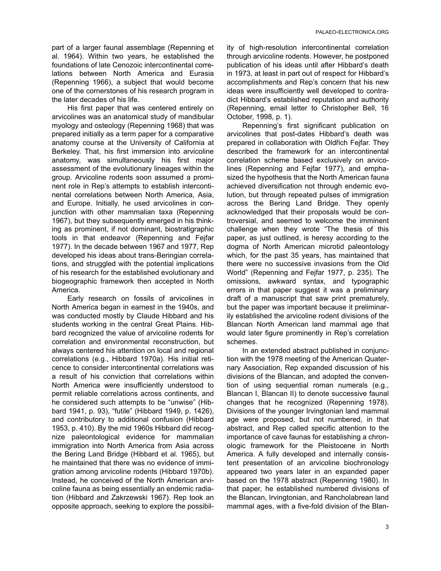part of a larger faunal assemblage (Repenning et al. 1964). Within two years, he established the foundations of late Cenozoic intercontinental correlations between North America and Eurasia (Repenning 1966), a subject that would become one of the cornerstones of his research program in the later decades of his life.

His first paper that was centered entirely on arvicolines was an anatomical study of mandibular myology and osteology (Repenning 1968) that was prepared initially as a term paper for a comparative anatomy course at the University of California at Berkeley. That, his first immersion into arvicoline anatomy, was simultaneously his first major assessment of the evolutionary lineages within the group. Arvicoline rodents soon assumed a prominent role in Rep's attempts to establish intercontinental correlations between North America, Asia, and Europe. Initially, he used arvicolines in conjunction with other mammalian taxa (Repenning 1967), but they subsequently emerged in his thinking as prominent, if not dominant, biostratigraphic tools in that endeavor (Repenning and Fejfar 1977). In the decade between 1967 and 1977, Rep developed his ideas about trans-Beringian correlations, and struggled with the potential implications of his research for the established evolutionary and biogeographic framework then accepted in North America.

Early research on fossils of arvicolines in North America began in earnest in the 1940s, and was conducted mostly by Claude Hibbard and his students working in the central Great Plains. Hibbard recognized the value of arvicoline rodents for correlation and environmental reconstruction, but always centered his attention on local and regional correlations (e.g., Hibbard 1970a). His initial reticence to consider intercontinental correlations was a result of his conviction that correlations within North America were insufficiently understood to permit reliable correlations across continents, and he considered such attempts to be "unwise" (Hibbard 1941, p. 93), "futile" (Hibbard 1949, p. 1426), and contributory to additional confusion (Hibbard 1953, p. 410). By the mid 1960s Hibbard did recognize paleontological evidence for mammalian immigration into North America from Asia across the Bering Land Bridge (Hibbard et al. 1965), but he maintained that there was no evidence of immigration among arvicoline rodents (Hibbard 1970b). Instead, he conceived of the North American arvicoline fauna as being essentially an endemic radiation (Hibbard and Zakrzewski 1967). Rep took an opposite approach, seeking to explore the possibility of high-resolution intercontinental correlation through arvicoline rodents. However, he postponed publication of his ideas until after Hibbard's death in 1973, at least in part out of respect for Hibbard's accomplishments and Rep's concern that his new ideas were insufficiently well developed to contradict Hibbard's established reputation and authority (Repenning, email letter to Christopher Bell, 16 October, 1998, p. 1).

Repenning's first significant publication on arvicolines that post-dates Hibbard's death was prepared in collaboration with Oldřich Fejfar. They described the framework for an intercontinental correlation scheme based exclusively on arvicolines (Repenning and Fejfar 1977), and emphasized the hypothesis that the North American fauna achieved diversification not through endemic evolution, but through repeated pulses of immigration across the Bering Land Bridge. They openly acknowledged that their proposals would be controversial, and seemed to welcome the imminent challenge when they wrote "The thesis of this paper, as just outlined, is heresy according to the dogma of North American microtid paleontology which, for the past 35 years, has maintained that there were no successive invasions from the Old World" (Repenning and Fejfar 1977, p. 235). The omissions, awkward syntax, and typographic errors in that paper suggest it was a preliminary draft of a manuscript that saw print prematurely, but the paper was important because it preliminarily established the arvicoline rodent divisions of the Blancan North American land mammal age that would later figure prominently in Rep's correlation schemes.

In an extended abstract published in conjunction with the 1978 meeting of the American Quaternary Association, Rep expanded discussion of his divisions of the Blancan, and adopted the convention of using sequential roman numerals (e.g., Blancan I, Blancan II) to denote successive faunal changes that he recognized (Repenning 1978). Divisions of the younger Irvingtonian land mammal age were proposed, but not numbered, in that abstract, and Rep called specific attention to the importance of cave faunas for establishing a chronologic framework for the Pleistocene in North America. A fully developed and internally consistent presentation of an arvicoline biochronology appeared two years later in an expanded paper based on the 1978 abstract (Repenning 1980). In that paper, he established numbered divisions of the Blancan, Irvingtonian, and Rancholabrean land mammal ages, with a five-fold division of the Blan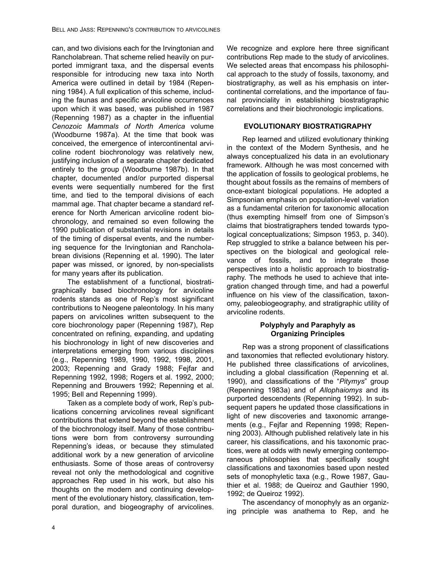can, and two divisions each for the Irvingtonian and Rancholabrean. That scheme relied heavily on purported immigrant taxa, and the dispersal events responsible for introducing new taxa into North America were outlined in detail by 1984 (Repenning 1984). A full explication of this scheme, including the faunas and specific arvicoline occurrences upon which it was based, was published in 1987 (Repenning 1987) as a chapter in the influential *Cenozoic Mammals of North America* volume (Woodburne 1987a). At the time that book was conceived, the emergence of intercontinental arvicoline rodent biochronology was relatively new, justifying inclusion of a separate chapter dedicated entirely to the group (Woodburne 1987b). In that chapter, documented and/or purported dispersal events were sequentially numbered for the first time, and tied to the temporal divisions of each mammal age. That chapter became a standard reference for North American arvicoline rodent biochronology, and remained so even following the 1990 publication of substantial revisions in details of the timing of dispersal events, and the numbering sequence for the Irvingtonian and Rancholabrean divisions (Repenning et al. 1990). The later paper was missed, or ignored, by non-specialists for many years after its publication.

The establishment of a functional, biostratigraphically based biochronology for arvicoline rodents stands as one of Rep's most significant contributions to Neogene paleontology. In his many papers on arvicolines written subsequent to the core biochronology paper (Repenning 1987), Rep concentrated on refining, expanding, and updating his biochronology in light of new discoveries and interpretations emerging from various disciplines (e.g., Repenning 1989, 1990, 1992, 1998, 2001, 2003; Repenning and Grady 1988; Fejfar and Repenning 1992, 1998; Rogers et al. 1992, 2000; Repenning and Brouwers 1992; Repenning et al. 1995; Bell and Repenning 1999).

Taken as a complete body of work, Rep's publications concerning arvicolines reveal significant contributions that extend beyond the establishment of the biochronology itself. Many of those contributions were born from controversy surrounding Repenning's ideas, or because they stimulated additional work by a new generation of arvicoline enthusiasts. Some of those areas of controversy reveal not only the methodological and cognitive approaches Rep used in his work, but also his thoughts on the modern and continuing development of the evolutionary history, classification, temporal duration, and biogeography of arvicolines.

We recognize and explore here three significant contributions Rep made to the study of arvicolines. We selected areas that encompass his philosophical approach to the study of fossils, taxonomy, and biostratigraphy, as well as his emphasis on intercontinental correlations, and the importance of faunal provinciality in establishing biostratigraphic correlations and their biochronologic implications.

### **EVOLUTIONARY BIOSTRATIGRAPHY**

Rep learned and utilized evolutionary thinking in the context of the Modern Synthesis, and he always conceptualized his data in an evolutionary framework. Although he was most concerned with the application of fossils to geological problems, he thought about fossils as the remains of members of once-extant biological populations. He adopted a Simpsonian emphasis on population-level variation as a fundamental criterion for taxonomic allocation (thus exempting himself from one of Simpson's claims that biostratigraphers tended towards typological conceptualizations; Simpson 1953, p. 340). Rep struggled to strike a balance between his perspectives on the biological and geological relevance of fossils, and to integrate those perspectives into a holistic approach to biostratigraphy. The methods he used to achieve that integration changed through time, and had a powerful influence on his view of the classification, taxonomy, paleobiogeography, and stratigraphic utility of arvicoline rodents.

# **Polyphyly and Paraphyly as Organizing Principles**

Rep was a strong proponent of classifications and taxonomies that reflected evolutionary history. He published three classifications of arvicolines, including a global classification (Repenning et al. 1990), and classifications of the "*Pitymys*" group (Repenning 1983a) and of *Allophaiomys* and its purported descendents (Repenning 1992). In subsequent papers he updated those classifications in light of new discoveries and taxonomic arrangements (e.g., Fejfar and Repenning 1998; Repenning 2003). Although published relatively late in his career, his classifications, and his taxonomic practices, were at odds with newly emerging contemporaneous philosophies that specifically sought classifications and taxonomies based upon nested sets of monophyletic taxa (e.g., Rowe 1987, Gauthier et al. 1988; de Queiroz and Gauthier 1990, 1992; de Queiroz 1992).

The ascendancy of monophyly as an organizing principle was anathema to Rep, and he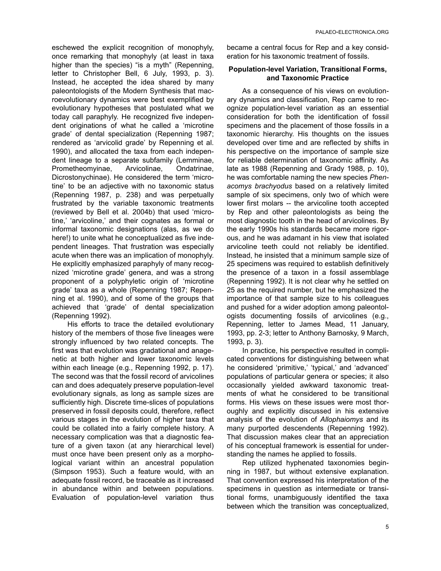eschewed the explicit recognition of monophyly, once remarking that monophyly (at least in taxa higher than the species) "is a myth" (Repenning, letter to Christopher Bell, 6 July, 1993, p. 3). Instead, he accepted the idea shared by many paleontologists of the Modern Synthesis that macroevolutionary dynamics were best exemplified by evolutionary hypotheses that postulated what we today call paraphyly. He recognized five independent originations of what he called a 'microtine grade' of dental specialization (Repenning 1987; rendered as 'arvicolid grade' by Repenning et al. 1990), and allocated the taxa from each independent lineage to a separate subfamily (Lemminae, Prometheomyinae, Arvicolinae, Ondatrinae, Dicrostonychinae). He considered the term 'microtine' to be an adjective with no taxonomic status (Repenning 1987, p. 238) and was perpetually frustrated by the variable taxonomic treatments (reviewed by Bell et al. 2004b) that used 'microtine,' 'arvicoline,' and their cognates as formal or informal taxonomic designations (alas, as we do here!) to unite what he conceptualized as five independent lineages. That frustration was especially acute when there was an implication of monophyly. He explicitly emphasized paraphyly of many recognized 'microtine grade' genera, and was a strong proponent of a polyphyletic origin of 'microtine grade' taxa as a whole (Repenning 1987; Repenning et al. 1990), and of some of the groups that achieved that 'grade' of dental specialization (Repenning 1992).

His efforts to trace the detailed evolutionary history of the members of those five lineages were strongly influenced by two related concepts. The first was that evolution was gradational and anagenetic at both higher and lower taxonomic levels within each lineage (e.g., Repenning 1992, p. 17). The second was that the fossil record of arvicolines can and does adequately preserve population-level evolutionary signals, as long as sample sizes are sufficiently high. Discrete time-slices of populations preserved in fossil deposits could, therefore, reflect various stages in the evolution of higher taxa that could be collated into a fairly complete history. A necessary complication was that a diagnostic feature of a given taxon (at any hierarchical level) must once have been present only as a morphological variant within an ancestral population (Simpson 1953). Such a feature would, with an adequate fossil record, be traceable as it increased in abundance within and between populations. Evaluation of population-level variation thus

became a central focus for Rep and a key consideration for his taxonomic treatment of fossils.

#### **Population-level Variation, Transitional Forms, and Taxonomic Practice**

As a consequence of his views on evolutionary dynamics and classification, Rep came to recognize population-level variation as an essential consideration for both the identification of fossil specimens and the placement of those fossils in a taxonomic hierarchy. His thoughts on the issues developed over time and are reflected by shifts in his perspective on the importance of sample size for reliable determination of taxonomic affinity. As late as 1988 (Repenning and Grady 1988, p. 10), he was comfortable naming the new species *Phenacomys brachyodus* based on a relatively limited sample of six specimens, only two of which were lower first molars -- the arvicoline tooth accepted by Rep and other paleontologists as being the most diagnostic tooth in the head of arvicolines. By the early 1990s his standards became more rigorous, and he was adamant in his view that isolated arvicoline teeth could not reliably be identified. Instead, he insisted that a minimum sample size of 25 specimens was required to establish definitively the presence of a taxon in a fossil assemblage (Repenning 1992). It is not clear why he settled on 25 as the required number, but he emphasized the importance of that sample size to his colleagues and pushed for a wider adoption among paleontologists documenting fossils of arvicolines (e.g., Repenning, letter to James Mead, 11 January, 1993, pp. 2-3; letter to Anthony Barnosky, 9 March, 1993, p. 3).

In practice, his perspective resulted in complicated conventions for distinguishing between what he considered 'primitive,' 'typical,' and 'advanced' populations of particular genera or species; it also occasionally yielded awkward taxonomic treatments of what he considered to be transitional forms. His views on these issues were most thoroughly and explicitly discussed in his extensive analysis of the evolution of *Allophaiomys* and its many purported descendents (Repenning 1992). That discussion makes clear that an appreciation of his conceptual framework is essential for understanding the names he applied to fossils.

Rep utilized hyphenated taxonomies beginning in 1987, but without extensive explanation. That convention expressed his interpretation of the specimens in question as intermediate or transitional forms, unambiguously identified the taxa between which the transition was conceptualized,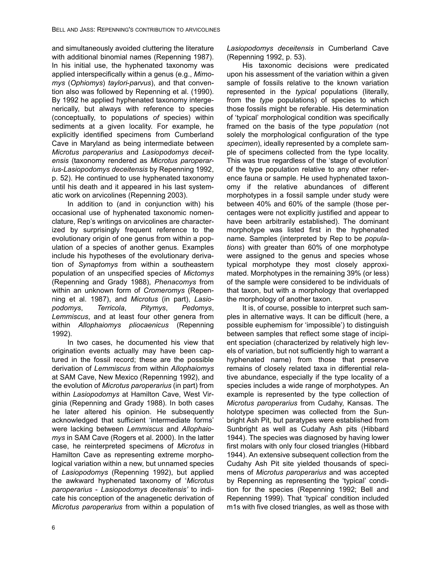and simultaneously avoided cluttering the literature with additional binomial names (Repenning 1987). In his initial use, the hyphenated taxonomy was applied interspecifically within a genus (e.g., *Mimomys* (*Ophiomys*) *taylori*-*parvus*), and that convention also was followed by Repenning et al. (1990). By 1992 he applied hyphenated taxonomy intergenerically, but always with reference to species (conceptually, to populations *of* species) within sediments at a given locality. For example, he explicitly identified specimens from Cumberland Cave in Maryland as being intermediate between *Microtus paroperarius* and *Lasiopodomys deceitensis* (taxonomy rendered as *Microtus paroperarius*-*Lasiopodomys deceitensis* by Repenning 1992, p. 52). He continued to use hyphenated taxonomy until his death and it appeared in his last systematic work on arvicolines (Repenning 2003).

In addition to (and in conjunction with) his occasional use of hyphenated taxonomic nomenclature, Rep's writings on arvicolines are characterized by surprisingly frequent reference to the evolutionary origin of one genus from within a population of a species of another genus. Examples include his hypotheses of the evolutionary derivation of *Synaptomys* from within a southeastern population of an unspecified species of *Mictomys* (Repenning and Grady 1988), *Phenacomys* from within an unknown form of *Cromeromys* (Repenning et al. 1987), and *Microtus* (in part), *Lasiopodomys*, *Terricola*, *Pitymys*, *Pedomys*, *Lemmiscus*, and at least four other genera from within *Allophaiomys pliocaenicus* (Repenning 1992).

In two cases, he documented his view that origination events actually may have been captured in the fossil record; these are the possible derivation of *Lemmiscus* from within *Allophaiomys* at SAM Cave, New Mexico (Repenning 1992), and the evolution of *Microtus paroperarius* (in part) from within *Lasiopodomys* at Hamilton Cave, West Virginia (Repenning and Grady 1988). In both cases he later altered his opinion. He subsequently acknowledged that sufficient 'intermediate forms' were lacking between *Lemmiscus* and *Allophaiomys* in SAM Cave (Rogers et al. 2000). In the latter case, he reinterpreted specimens of *Microtus* in Hamilton Cave as representing extreme morphological variation within a new, but unnamed species of *Lasiopodomys* (Repenning 1992), but applied the awkward hyphenated taxonomy of '*Microtus paroperarius* - *Lasiopodomys deceitensis'* to indicate his conception of the anagenetic derivation of *Microtus paroperarius* from within a population of *Lasiopodomys deceitensis* in Cumberland Cave (Repenning 1992, p. 53).

His taxonomic decisions were predicated upon his assessment of the variation within a given sample of fossils relative to the known variation represented in the *typical* populations (literally, from the *type* populations) of species to which those fossils might be referable. His determination of 'typical' morphological condition was specifically framed on the basis of the type *population* (not solely the morphological configuration of the type *specimen*), ideally represented by a complete sample of specimens collected from the type locality. This was true regardless of the 'stage of evolution' of the type population relative to any other reference fauna or sample. He used hyphenated taxonomy if the relative abundances of different morphotypes in a fossil sample under study were between 40% and 60% of the sample (those percentages were not explicitly justified and appear to have been arbitrarily established). The dominant morphotype was listed first in the hyphenated name. Samples (interpreted by Rep to be *populations*) with greater than 60% of one morphotype were assigned to the genus and species whose typical morphotype they most closely approximated. Morphotypes in the remaining 39% (or less) of the sample were considered to be individuals of that taxon, but with a morphology that overlapped the morphology of another taxon.

It is, of course, possible to interpret such samples in alternative ways. It can be difficult (here, a possible euphemism for 'impossible') to distinguish between samples that reflect some stage of incipient speciation (characterized by relatively high levels of variation, but not sufficiently high to warrant a hyphenated name) from those that preserve remains of closely related taxa in differential relative abundance, especially if the type locality of a species includes a wide range of morphotypes. An example is represented by the type collection of *Microtus paroperarius* from Cudahy, Kansas. The holotype specimen was collected from the Sunbright Ash Pit, but paratypes were established from Sunbright as well as Cudahy Ash pits (Hibbard 1944). The species was diagnosed by having lower first molars with only four closed triangles (Hibbard 1944). An extensive subsequent collection from the Cudahy Ash Pit site yielded thousands of specimens of *Microtus paroperarius* and was accepted by Repenning as representing the 'typical' condition for the species (Repenning 1992; Bell and Repenning 1999). That 'typical' condition included m1s with five closed triangles, as well as those with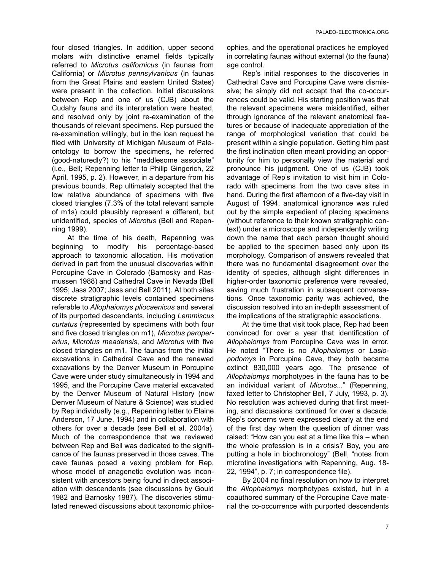four closed triangles. In addition, upper second molars with distinctive enamel fields typically referred to *Microtus californicus* (in faunas from California) or *Microtus pennsylvanicus* (in faunas from the Great Plains and eastern United States) were present in the collection. Initial discussions between Rep and one of us (CJB) about the Cudahy fauna and its interpretation were heated, and resolved only by joint re-examination of the thousands of relevant specimens. Rep pursued the re-examination willingly, but in the loan request he filed with University of Michigan Museum of Paleontology to borrow the specimens, he referred (good-naturedly?) to his "meddlesome associate" (i.e., Bell; Repenning letter to Philip Gingerich, 22 April, 1995, p. 2). However, in a departure from his previous bounds, Rep ultimately accepted that the low relative abundance of specimens with five closed triangles (7.3% of the total relevant sample of m1s) could plausibly represent a different, but unidentified, species of *Microtus* (Bell and Repenning 1999).

At the time of his death, Repenning was beginning to modify his percentage-based approach to taxonomic allocation. His motivation derived in part from the unusual discoveries within Porcupine Cave in Colorado (Barnosky and Rasmussen 1988) and Cathedral Cave in Nevada (Bell 1995; Jass 2007; Jass and Bell 2011). At both sites discrete stratigraphic levels contained specimens referable to *Allophaiomys pliocaenicus* and several of its purported descendants, including *Lemmiscus curtatus* (represented by specimens with both four and five closed triangles on m1), *Microtus paroperarius*, *Microtus meadensis*, and *Microtus* with five closed triangles on m1. The faunas from the initial excavations in Cathedral Cave and the renewed excavations by the Denver Museum in Porcupine Cave were under study simultaneously in 1994 and 1995, and the Porcupine Cave material excavated by the Denver Museum of Natural History (now Denver Museum of Nature & Science) was studied by Rep individually (e.g., Repenning letter to Elaine Anderson, 17 June, 1994) and in collaboration with others for over a decade (see Bell et al. 2004a). Much of the correspondence that we reviewed between Rep and Bell was dedicated to the significance of the faunas preserved in those caves. The cave faunas posed a vexing problem for Rep, whose model of anagenetic evolution was inconsistent with ancestors being found in direct association with descendents (see discussions by Gould 1982 and Barnosky 1987). The discoveries stimulated renewed discussions about taxonomic philosophies, and the operational practices he employed in correlating faunas without external (to the fauna) age control.

Rep's initial responses to the discoveries in Cathedral Cave and Porcupine Cave were dismissive; he simply did not accept that the co-occurrences could be valid. His starting position was that the relevant specimens were misidentified, either through ignorance of the relevant anatomical features or because of inadequate appreciation of the range of morphological variation that could be present within a single population. Getting him past the first inclination often meant providing an opportunity for him to personally view the material and pronounce his judgment. One of us (CJB) took advantage of Rep's invitation to visit him in Colorado with specimens from the two cave sites in hand. During the first afternoon of a five-day visit in August of 1994, anatomical ignorance was ruled out by the simple expedient of placing specimens (without reference to their known stratigraphic context) under a microscope and independently writing down the name that each person thought should be applied to the specimen based only upon its morphology. Comparison of answers revealed that there was no fundamental disagreement over the identity of species, although slight differences in higher-order taxonomic preference were revealed, saving much frustration in subsequent conversations. Once taxonomic parity was achieved, the discussion resolved into an in-depth assessment of the implications of the stratigraphic associations.

At the time that visit took place, Rep had been convinced for over a year that identification of *Allophaiomys* from Porcupine Cave was in error. He noted "There is no *Allophaiomys* or *Lasiopodomys* in Porcupine Cave, they both became extinct 830,000 years ago. The presence of *Allophaiomys* morphotypes in the fauna has to be an individual variant of *Microtus*..." (Repenning, faxed letter to Christopher Bell, 7 July, 1993, p. 3). No resolution was achieved during that first meeting, and discussions continued for over a decade. Rep's concerns were expressed clearly at the end of the first day when the question of dinner was raised: "How can you eat at a time like this – when the whole profession is in a crisis? Boy, you are putting a hole in biochronology" (Bell, "notes from microtine investigations with Repenning, Aug. 18- 22, 1994", p. 7; in correspondence file).

By 2004 no final resolution on how to interpret the *Allophaiomys* morphotypes existed, but in a coauthored summary of the Porcupine Cave material the co-occurrence with purported descendents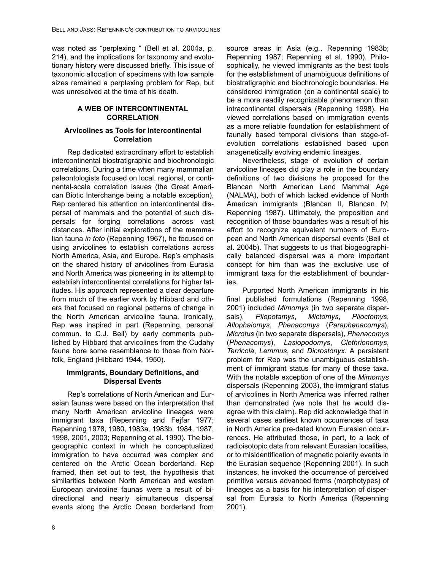was noted as "perplexing " (Bell et al. 2004a, p. 214), and the implications for taxonomy and evolutionary history were discussed briefly. This issue of taxonomic allocation of specimens with low sample sizes remained a perplexing problem for Rep, but was unresolved at the time of his death.

### **A WEB OF INTERCONTINENTAL CORRELATION**

### **Arvicolines as Tools for Intercontinental Correlation**

Rep dedicated extraordinary effort to establish intercontinental biostratigraphic and biochronologic correlations. During a time when many mammalian paleontologists focused on local, regional, or continental-scale correlation issues (the Great American Biotic Interchange being a notable exception), Rep centered his attention on intercontinental dispersal of mammals and the potential of such dispersals for forging correlations across vast distances. After initial explorations of the mammalian fauna *in toto* (Repenning 1967), he focused on using arvicolines to establish correlations across North America, Asia, and Europe. Rep's emphasis on the shared history of arvicolines from Eurasia and North America was pioneering in its attempt to establish intercontinental correlations for higher latitudes. His approach represented a clear departure from much of the earlier work by Hibbard and others that focused on regional patterns of change in the North American arvicoline fauna. Ironically, Rep was inspired in part (Repenning, personal commun. to C.J. Bell) by early comments published by Hibbard that arvicolines from the Cudahy fauna bore some resemblance to those from Norfolk, England (Hibbard 1944, 1950).

#### **Immigrants, Boundary Definitions, and Dispersal Events**

Rep's correlations of North American and Eurasian faunas were based on the interpretation that many North American arvicoline lineages were immigrant taxa (Repenning and Fejfar 1977; Repenning 1978, 1980, 1983a, 1983b, 1984, 1987, 1998, 2001, 2003; Repenning et al. 1990). The biogeographic context in which he conceptualized immigration to have occurred was complex and centered on the Arctic Ocean borderland. Rep framed, then set out to test, the hypothesis that similarities between North American and western European arvicoline faunas were a result of bidirectional and nearly simultaneous dispersal events along the Arctic Ocean borderland from

source areas in Asia (e.g., Repenning 1983b; Repenning 1987; Repenning et al. 1990). Philosophically, he viewed immigrants as the best tools for the establishment of unambiguous definitions of biostratigraphic and biochronologic boundaries. He considered immigration (on a continental scale) to be a more readily recognizable phenomenon than intracontinental dispersals (Repenning 1998). He viewed correlations based on immigration events as a more reliable foundation for establishment of faunally based temporal divisions than stage-ofevolution correlations established based upon anagenetically evolving endemic lineages.

Nevertheless, stage of evolution of certain arvicoline lineages did play a role in the boundary definitions of two divisions he proposed for the Blancan North American Land Mammal Age (NALMA), both of which lacked evidence of North American immigrants (Blancan II, Blancan IV; Repenning 1987). Ultimately, the proposition and recognition of those boundaries was a result of his effort to recognize equivalent numbers of European and North American dispersal events (Bell et al. 2004b). That suggests to us that biogeographically balanced dispersal was a more important concept for him than was the exclusive use of immigrant taxa for the establishment of boundaries.

Purported North American immigrants in his final published formulations (Repenning 1998, 2001) included *Mimomys* (in two separate dispersals), *Pliopotamys*, *Mictomys*, *Plioctomys*, *Allophaiomys*, *Phenacomys* (*Paraphenacomys*), *Microtus* (in two separate dispersals), *Phenacomys* (*Phenacomys*), *Lasiopodomys*, *Clethrionomys*, *Terricola*, *Lemmus*, and *Dicrostonyx*. A persistent problem for Rep was the unambiguous establishment of immigrant status for many of those taxa. With the notable exception of one of the *Mimomys* dispersals (Repenning 2003), the immigrant status of arvicolines in North America was inferred rather than demonstrated (we note that he would disagree with this claim). Rep did acknowledge that in several cases earliest known occurrences of taxa in North America pre-dated known Eurasian occurrences. He attributed those, in part, to a lack of radioisotopic data from relevant Eurasian localities, or to misidentification of magnetic polarity events in the Eurasian sequence (Repenning 2001). In such instances, he invoked the occurrence of perceived primitive versus advanced forms (morphotypes) of lineages as a basis for his interpretation of dispersal from Eurasia to North America (Repenning 2001).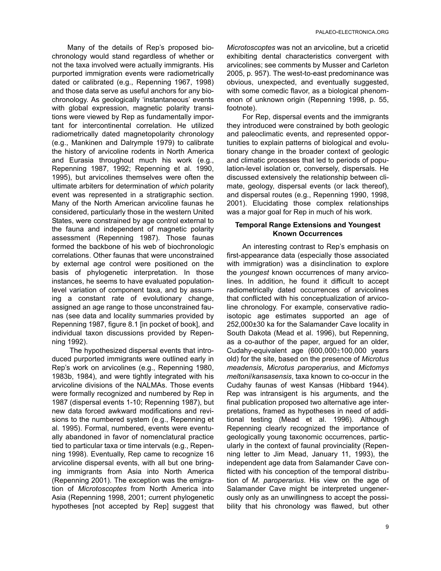Many of the details of Rep's proposed biochronology would stand regardless of whether or not the taxa involved were actually immigrants. His purported immigration events were radiometrically dated or calibrated (e.g., Repenning 1967, 1998) and those data serve as useful anchors for any biochronology. As geologically 'instantaneous' events with global expression, magnetic polarity transitions were viewed by Rep as fundamentally important for intercontinental correlation. He utilized radiometrically dated magnetopolarity chronology (e.g., Mankinen and Dalrymple 1979) to calibrate the history of arvicoline rodents in North America and Eurasia throughout much his work (e.g., Repenning 1987, 1992; Repenning et al. 1990, 1995), but arvicolines themselves were often the ultimate arbiters for determination of *which* polarity event was represented in a stratigraphic section. Many of the North American arvicoline faunas he considered, particularly those in the western United States, were constrained by age control external to the fauna and independent of magnetic polarity assessment (Repenning 1987). Those faunas formed the backbone of his web of biochronologic correlations. Other faunas that were unconstrained by external age control were positioned on the basis of phylogenetic interpretation. In those instances, he seems to have evaluated populationlevel variation of component taxa, and by assuming a constant rate of evolutionary change, assigned an age range to those unconstrained faunas (see data and locality summaries provided by Repenning 1987, figure 8.1 [in pocket of book], and individual taxon discussions provided by Repenning 1992).

 The hypothesized dispersal events that introduced purported immigrants were outlined early in Rep's work on arvicolines (e.g., Repenning 1980, 1983b, 1984), and were tightly integrated with his arvicoline divisions of the NALMAs. Those events were formally recognized and numbered by Rep in 1987 (dispersal events 1-10; Repenning 1987), but new data forced awkward modifications and revisions to the numbered system (e.g., Repenning et al. 1995). Formal, numbered, events were eventually abandoned in favor of nomenclatural practice tied to particular taxa or time intervals (e.g., Repenning 1998). Eventually, Rep came to recognize 16 arvicoline dispersal events, with all but one bringing immigrants from Asia into North America (Repenning 2001). The exception was the emigration of *Microtoscoptes* from North America into Asia (Repenning 1998, 2001; current phylogenetic hypotheses [not accepted by Rep] suggest that

*Microtoscoptes* was not an arvicoline, but a cricetid exhibiting dental characteristics convergent with arvicolines; see comments by Musser and Carleton 2005, p. 957). The west-to-east predominance was obvious, unexpected, and eventually suggested, with some comedic flavor, as a biological phenomenon of unknown origin (Repenning 1998, p. 55, footnote).

For Rep, dispersal events and the immigrants they introduced were constrained by both geologic and paleoclimatic events, and represented opportunities to explain patterns of biological and evolutionary change in the broader context of geologic and climatic processes that led to periods of population-level isolation or, conversely, dispersals. He discussed extensively the relationship between climate, geology, dispersal events (or lack thereof), and dispersal routes (e.g., Repenning 1990, 1998, 2001). Elucidating those complex relationships was a major goal for Rep in much of his work.

#### **Temporal Range Extensions and Youngest Known Occurrences**

An interesting contrast to Rep's emphasis on first-appearance data (especially those associated with immigration) was a disinclination to explore the *youngest* known occurrences of many arvicolines. In addition, he found it difficult to accept radiometrically dated occurrences of arvicolines that conflicted with his conceptualization of arvicoline chronology. For example, conservative radioisotopic age estimates supported an age of 252,000±30 ka for the Salamander Cave locality in South Dakota (Mead et al. 1996), but Repenning, as a co-author of the paper, argued for an older, Cudahy-equivalent age  $(600,000\pm100,000)$  years old) for the site, based on the presence of *Microtus meadensis*, *Microtus paroperarius*, and *Mictomys meltoni*/*kansasensis*, taxa known to co-occur in the Cudahy faunas of west Kansas (Hibbard 1944). Rep was intransigent is his arguments, and the final publication proposed two alternative age interpretations, framed as hypotheses in need of additional testing (Mead et al. 1996). Although Repenning clearly recognized the importance of geologically young taxonomic occurrences, particularly in the context of faunal provinciality (Repenning letter to Jim Mead, January 11, 1993), the independent age data from Salamander Cave conflicted with his conception of the temporal distribution of *M*. *paroperarius*. His view on the age of Salamander Cave might be interpreted ungenerously only as an unwillingness to accept the possibility that his chronology was flawed, but other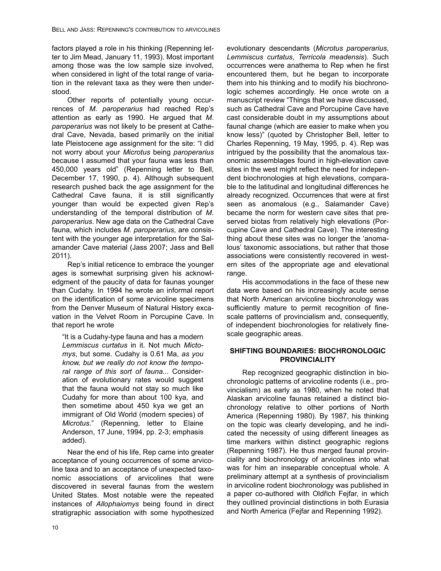factors played a role in his thinking (Repenning letter to Jim Mead, January 11, 1993). Most important among those was the low sample size involved, when considered in light of the total range of variation in the relevant taxa as they were then understood.

Other reports of potentially young occurrences of *M. paroperarius* had reached Rep's attention as early as 1990. He argued that *M*. *paroperarius* was not likely to be present at Cathedral Cave, Nevada, based primarily on the initial late Pleistocene age assignment for the site: "I did not worry about your *Microtus* being *paroperarius* because I assumed that your fauna was less than 450,000 years old" (Repenning letter to Bell, December 17, 1990, p. 4). Although subsequent research pushed back the age assignment for the Cathedral Cave fauna, it is still significantly younger than would be expected given Rep's understanding of the temporal distribution of *M. paroperarius*. New age data on the Cathedral Cave fauna, which includes *M. paroperarius*, are consistent with the younger age interpretation for the Salamander Cave material (Jass 2007; Jass and Bell 2011).

Rep's initial reticence to embrace the younger ages is somewhat surprising given his acknowledgment of the paucity of data for faunas younger than Cudahy. In 1994 he wrote an informal report on the identification of some arvicoline specimens from the Denver Museum of Natural History excavation in the Velvet Room in Porcupine Cave. In that report he wrote

"It is a Cudahy-type fauna and has a modern *Lemmiscus curtatus* in it. Not much *Mictomys*, but some. Cudahy is 0.61 Ma, *as you know, but we really do not know the temporal range of this sort of fauna...* Consideration of evolutionary rates would suggest that the fauna would not stay so much like Cudahy for more than about 100 kya, and then sometime about 450 kya we get an immigrant of Old World (modern species) of *Microtus*." (Repenning, letter to Elaine Anderson, 17 June, 1994, pp. 2-3; emphasis added).

Near the end of his life, Rep came into greater acceptance of young occurrences of some arvicoline taxa and to an acceptance of unexpected taxonomic associations of arvicolines that were discovered in several faunas from the western United States. Most notable were the repeated instances of *Allophaiomys* being found in direct stratigraphic association with some hypothesized

evolutionary descendants (*Microtus paroperarius*, *Lemmiscus curtatus*, *Terricola meadensis*). Such occurrences were anathema to Rep when he first encountered them, but he began to incorporate them into his thinking and to modify his biochronologic schemes accordingly. He once wrote on a manuscript review "Things that we have discussed, such as Cathedral Cave and Porcupine Cave have cast considerable doubt in my assumptions about faunal change (which are easier to make when you know less)" (quoted by Christopher Bell, letter to Charles Repenning, 19 May, 1995, p. 4). Rep was intrigued by the possibility that the anomalous taxonomic assemblages found in high-elevation cave sites in the west might reflect the need for independent biochronologies at high elevations, comparable to the latitudinal and longitudinal differences he already recognized. Occurrences that were at first seen as anomalous (e.g., Salamander Cave) became the norm for western cave sites that preserved biotas from relatively high elevations (Porcupine Cave and Cathedral Cave). The interesting thing about these sites was no longer the 'anomalous' taxonomic associations, but rather that those associations were consistently recovered in western sites of the appropriate age and elevational range.

His accommodations in the face of these new data were based on his increasingly acute sense that North American arvicoline biochronology was sufficiently mature to permit recognition of finescale patterns of provincialism and, consequently, of independent biochronologies for relatively finescale geographic areas.

# **SHIFTING BOUNDARIES: BIOCHRONOLOGIC PROVINCIALITY**

Rep recognized geographic distinction in biochronologic patterns of arvicoline rodents (i.e., provincialism) as early as 1980, when he noted that Alaskan arvicoline faunas retained a distinct biochronology relative to other portions of North America (Repenning 1980). By 1987, his thinking on the topic was clearly developing, and he indicated the necessity of using different lineages as time markers within distinct geographic regions (Repenning 1987). He thus merged faunal provinciality and biochronology of arvicolines into what was for him an inseparable conceptual whole. A preliminary attempt at a synthesis of provincialism in arvicoline rodent biochronology was published in a paper co-authored with Oldřich Fejfar, in which they outlined provincial distinctions in both Eurasia and North America (Fejfar and Repenning 1992).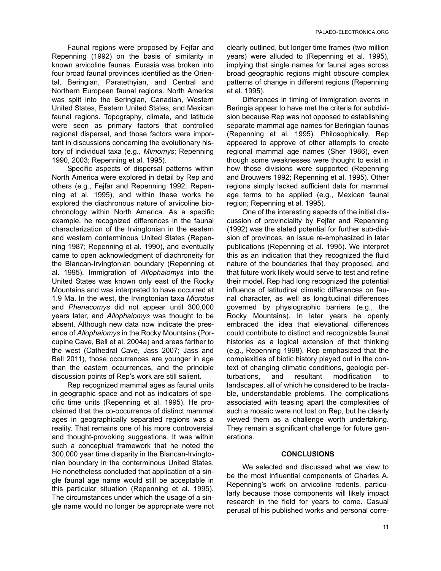Faunal regions were proposed by Fejfar and Repenning (1992) on the basis of similarity in known arvicoline faunas. Eurasia was broken into four broad faunal provinces identified as the Oriental, Beringian, Paratethyian, and Central and Northern European faunal regions. North America was split into the Beringian, Canadian, Western United States, Eastern United States, and Mexican faunal regions. Topography, climate, and latitude were seen as primary factors that controlled regional dispersal, and those factors were important in discussions concerning the evolutionary history of individual taxa (e.g., *Mimomys*; Repenning 1990, 2003; Repenning et al. 1995).

Specific aspects of dispersal patterns within North America were explored in detail by Rep and others (e.g., Fejfar and Repenning 1992; Repenning et al. 1995), and within these works he explored the diachronous nature of arvicoline biochronology within North America. As a specific example, he recognized differences in the faunal characterization of the Irvingtonian in the eastern and western conterminous United States (Repenning 1987; Repenning et al. 1990), and eventually came to open acknowledgment of diachroneity for the Blancan-Irvingtonian boundary (Repenning et al. 1995). Immigration of *Allophaiomys* into the United States was known only east of the Rocky Mountains and was interpreted to have occurred at 1.9 Ma. In the west, the Irvingtonian taxa *Microtus* and *Phenacomys* did not appear until 300,000 years later, and *Allophaiomys* was thought to be absent. Although new data now indicate the presence of *Allophaiomys* in the Rocky Mountains (Porcupine Cave, Bell et al. 2004a) and areas farther to the west (Cathedral Cave, Jass 2007; Jass and Bell 2011), those occurrences are younger in age than the eastern occurrences, and the principle discussion points of Rep's work are still salient.

Rep recognized mammal ages as faunal units in geographic space and not as indicators of specific time units (Repenning et al. 1995). He proclaimed that the co-occurrence of distinct mammal ages in geographically separated regions was a reality. That remains one of his more controversial and thought-provoking suggestions. It was within such a conceptual framework that he noted the 300,000 year time disparity in the Blancan-Irvingtonian boundary in the conterminous United States. He nonetheless concluded that application of a single faunal age name would still be acceptable in this particular situation (Repenning et al. 1995). The circumstances under which the usage of a single name would no longer be appropriate were not clearly outlined, but longer time frames (two million years) were alluded to (Repenning et al. 1995), implying that single names for faunal ages across broad geographic regions might obscure complex patterns of change in different regions (Repenning et al. 1995).

Differences in timing of immigration events in Beringia appear to have met the criteria for subdivision because Rep was not opposed to establishing separate mammal age names for Beringian faunas (Repenning et al. 1995). Philosophically, Rep appeared to approve of other attempts to create regional mammal age names (Sher 1986), even though some weaknesses were thought to exist in how those divisions were supported (Repenning and Brouwers 1992; Repenning et al. 1995). Other regions simply lacked sufficient data for mammal age terms to be applied (e.g., Mexican faunal region; Repenning et al. 1995).

One of the interesting aspects of the initial discussion of provinciality by Fejfar and Repenning (1992) was the stated potential for further sub-division of provinces, an issue re-emphasized in later publications (Repenning et al. 1995). We interpret this as an indication that they recognized the fluid nature of the boundaries that they proposed, and that future work likely would serve to test and refine their model. Rep had long recognized the potential influence of latitudinal climatic differences on faunal character, as well as longitudinal differences governed by physiographic barriers (e.g., the Rocky Mountains). In later years he openly embraced the idea that elevational differences could contribute to distinct and recognizable faunal histories as a logical extension of that thinking (e.g., Repenning 1998). Rep emphasized that the complexities of biotic history played out in the context of changing climatic conditions, geologic perturbations, and resultant modification to landscapes, all of which he considered to be tractable, understandable problems. The complications associated with teasing apart the complexities of such a mosaic were not lost on Rep, but he clearly viewed them as a challenge worth undertaking. They remain a significant challenge for future generations.

#### **CONCLUSIONS**

We selected and discussed what we view to be the most influential components of Charles A. Repenning's work on arvicoline rodents, particularly because those components will likely impact research in the field for years to come. Casual perusal of his published works and personal corre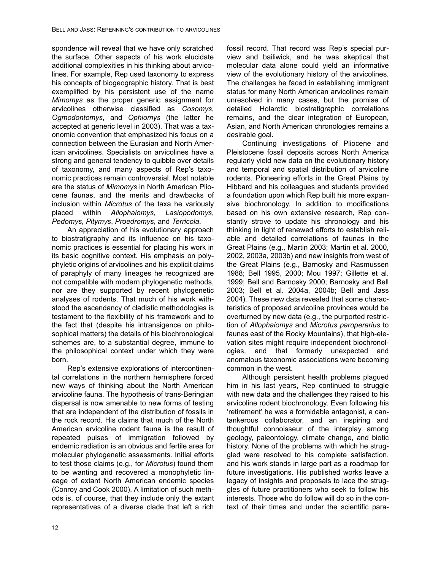spondence will reveal that we have only scratched the surface. Other aspects of his work elucidate additional complexities in his thinking about arvicolines. For example, Rep used taxonomy to express his concepts of biogeographic history. That is best exemplified by his persistent use of the name *Mimomys* as the proper generic assignment for arvicolines otherwise classified as *Cosomys*, *Ogmodontomys*, and *Ophiomys* (the latter he accepted at generic level in 2003). That was a taxonomic convention that emphasized his focus on a connection between the Eurasian and North American arvicolines. Specialists on arvicolines have a strong and general tendency to quibble over details of taxonomy, and many aspects of Rep's taxonomic practices remain controversial. Most notable are the status of *Mimomys* in North American Pliocene faunas, and the merits and drawbacks of inclusion within *Microtus* of the taxa he variously placed within *Allophaiomys*, *Lasiopodomys*, *Pedomys*, *Pitymys*, *Proedromys*, and *Terricola*.

An appreciation of his evolutionary approach to biostratigraphy and its influence on his taxonomic practices is essential for placing his work in its basic cognitive context. His emphasis on polyphyletic origins of arvicolines and his explicit claims of paraphyly of many lineages he recognized are not compatible with modern phylogenetic methods, nor are they supported by recent phylogenetic analyses of rodents. That much of his work withstood the ascendancy of cladistic methodologies is testament to the flexibility of his framework and to the fact that (despite his intransigence on philosophical matters) the details of his biochronological schemes are, to a substantial degree, immune to the philosophical context under which they were born.

Rep's extensive explorations of intercontinental correlations in the northern hemisphere forced new ways of thinking about the North American arvicoline fauna. The hypothesis of trans-Beringian dispersal is now amenable to new forms of testing that are independent of the distribution of fossils in the rock record. His claims that much of the North American arvicoline rodent fauna is the result of repeated pulses of immigration followed by endemic radiation is an obvious and fertile area for molecular phylogenetic assessments. Initial efforts to test those claims (e.g., for *Microtus*) found them to be wanting and recovered a monophyletic lineage of extant North American endemic species (Conroy and Cook 2000). A limitation of such methods is, of course, that they include only the extant representatives of a diverse clade that left a rich

fossil record. That record was Rep's special purview and bailiwick, and he was skeptical that molecular data alone could yield an informative view of the evolutionary history of the arvicolines. The challenges he faced in establishing immigrant status for many North American arvicolines remain unresolved in many cases, but the promise of detailed Holarctic biostratigraphic correlations remains, and the clear integration of European, Asian, and North American chronologies remains a desirable goal.

Continuing investigations of Pliocene and Pleistocene fossil deposits across North America regularly yield new data on the evolutionary history and temporal and spatial distribution of arvicoline rodents. Pioneering efforts in the Great Plains by Hibbard and his colleagues and students provided a foundation upon which Rep built his more expansive biochronology. In addition to modifications based on his own extensive research, Rep constantly strove to update his chronology and his thinking in light of renewed efforts to establish reliable and detailed correlations of faunas in the Great Plains (e.g., Martin 2003; Martin et al. 2000, 2002, 2003a, 2003b) and new insights from west of the Great Plains (e.g., Barnosky and Rasmussen 1988; Bell 1995, 2000; Mou 1997; Gillette et al. 1999; Bell and Barnosky 2000; Barnosky and Bell 2003; Bell et al. 2004a, 2004b; Bell and Jass 2004). These new data revealed that some characteristics of proposed arvicoline provinces would be overturned by new data (e.g., the purported restriction of *Allophaiomys* and *Microtus paroperarius* to faunas east of the Rocky Mountains), that high-elevation sites might require independent biochronologies, and that formerly unexpected and anomalous taxonomic associations were becoming common in the west.

Although persistent health problems plagued him in his last years, Rep continued to struggle with new data and the challenges they raised to his arvicoline rodent biochronology. Even following his 'retirement' he was a formidable antagonist, a cantankerous collaborator, and an inspiring and thoughtful connoisseur of the interplay among geology, paleontology, climate change, and biotic history. None of the problems with which he struggled were resolved to his complete satisfaction, and his work stands in large part as a roadmap for future investigations. His published works leave a legacy of insights and proposals to lace the struggles of future practitioners who seek to follow his interests. Those who do follow will do so in the context of their times and under the scientific para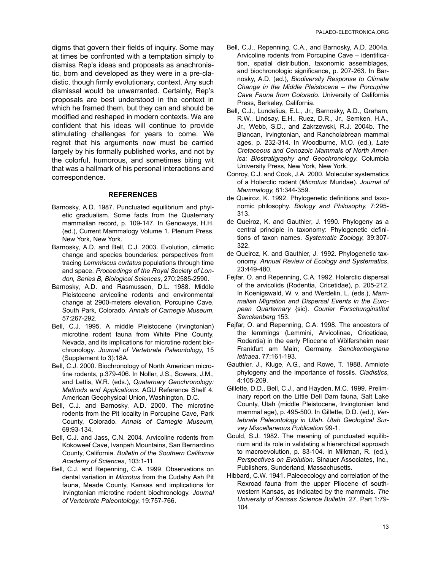digms that govern their fields of inquiry. Some may at times be confronted with a temptation simply to dismiss Rep's ideas and proposals as anachronistic, born and developed as they were in a pre-cladistic, though firmly evolutionary, context. Any such dismissal would be unwarranted. Certainly, Rep's proposals are best understood in the context in which he framed them, but they can and should be modified and reshaped in modern contexts. We are confident that his ideas will continue to provide stimulating challenges for years to come. We regret that his arguments now must be carried largely by his formally published works, and not by the colorful, humorous, and sometimes biting wit that was a hallmark of his personal interactions and correspondence.

### **REFERENCES**

- Barnosky, A.D. 1987. Punctuated equilibrium and phyletic gradualism. Some facts from the Quaternary mammalian record, p. 109-147. In Genoways, H.H. (ed.), Current Mammalogy Volume 1. Plenum Press, New York, New York.
- Barnosky, A.D. and Bell, C.J. 2003. Evolution, climatic change and species boundaries: perspectives from tracing *Lemmiscus curtatus* populations through time and space. *Proceedings of the Royal Society of London, Series B, Biological Sciences*, 270:2585-2590.
- Barnosky, A.D. and Rasmussen, D.L. 1988. Middle Pleistocene arvicoline rodents and environmental change at 2900-meters elevation, Porcupine Cave, South Park, Colorado. *Annals of Carnegie Museum*, 57:267-292.
- Bell, C.J. 1995. A middle Pleistocene (Irvingtonian) microtine rodent fauna from White Pine County, Nevada, and its implications for microtine rodent biochronology. *Journal of Vertebrate Paleontology*, 15 (Supplement to 3):18A.
- Bell, C.J. 2000. Biochronology of North American microtine rodents, p.379-406. In Noller, J.S., Sowers, J.M., and Lettis, W.R. (eds.), *Quaternary Geochronology: Methods and Applications*. AGU Reference Shelf 4. American Geophysical Union, Washington, D.C.
- Bell, C.J. and Barnosky, A.D. 2000. The microtine rodents from the Pit locality in Porcupine Cave, Park County, Colorado. *Annals of Carnegie Museum*, 69:93-134.
- Bell, C.J. and Jass, C.N. 2004. Arvicoline rodents from Kokoweef Cave, Ivanpah Mountains, San Bernardino County, California. *Bulletin of the Southern California Academy of Sciences*, 103:1-11.
- Bell, C.J. and Repenning, C.A. 1999. Observations on dental variation in *Microtus* from the Cudahy Ash Pit fauna, Meade County, Kansas and implications for Irvingtonian microtine rodent biochronology. *Journal of Vertebrate Paleontology*, 19:757-766.
- Bell, C.J., Repenning, C.A., and Barnosky, A.D. 2004a. Arvicoline rodents from Porcupine Cave – identification, spatial distribution, taxonomic assemblages, and biochronologic significance, p. 207-263. In Barnosky, A.D. (ed.), *Biodiversity Response to Climate Change in the Middle Pleistocene – the Porcupine Cave Fauna from Colorado*. University of California Press, Berkeley, California.
- Bell, C.J., Lundelius, E.L., Jr., Barnosky, A.D., Graham, R.W., Lindsay, E.H., Ruez, D.R., Jr., Semken, H.A., Jr., Webb, S.D., and Zakrzewski, R.J. 2004b. The Blancan, Irvingtonian, and Rancholabrean mammal ages, p. 232-314. In Woodburne, M.O. (ed.), *Late Cretaceous and Cenozoic Mammals of North America: Biostratigraphy and Geochronology*. Columbia University Press, New York, New York.
- Conroy, C.J. and Cook, J.A. 2000. Molecular systematics of a Holarctic rodent (*Microtus*: Muridae). *Journal of Mammalogy*, 81:344-359.
- de Queiroz, K. 1992. Phylogenetic definitions and taxonomic philosophy. *Biology and Philosophy*, 7:295- 313.
- de Queiroz, K. and Gauthier, J. 1990. Phylogeny as a central principle in taxonomy: Phylogenetic definitions of taxon names. *Systematic Zoology*, 39:307- 322.
- de Queiroz, K. and Gauthier, J. 1992. Phylogenetic taxonomy. *Annual Review of Ecology and Systematics*, 23:449-480.
- Fejfar, O. and Repenning, C.A. 1992. Holarctic dispersal of the arvicolids (Rodentia, Cricetidae), p. 205-212. In Koenigswald, W. v. and Werdelin, L. (eds.), *Mammalian Migration and Dispersal Events in the European Quarternary* {sic}. *Courier Forschunginstitut Senckenberg* 153.
- Fejfar, O. and Repenning, C.A. 1998. The ancestors of the lemmings (Lemmini, Arvicolinae, Cricetidae, Rodentia) in the early Pliocene of Wölfersheim near Frankfurt am Main; Germany. *Senckenbergiana lethaea*, 77:161-193.
- Gauthier, J., Kluge, A.G., and Rowe, T. 1988. Amniote phylogeny and the importance of fossils. *Cladistics*, 4:105-209.
- Gillette, D.D., Bell, C.J., and Hayden, M.C. 1999. Preliminary report on the Little Dell Dam fauna, Salt Lake County, Utah (middle Pleistocene, Irvingtonian land mammal age), p. 495-500. In Gillette, D.D. (ed.), *Vertebrate Paleontology in Utah*. *Utah Geological Survey Miscellaneous Publication* 99-1.
- Gould, S.J. 1982. The meaning of punctuated equilibrium and its role in validating a hierarchical approach to macroevolution, p. 83-104. In Milkman, R. (ed.), *Perspectives on Evolution*. Sinauer Associates, Inc., Publishers, Sunderland, Massachusetts.
- Hibbard, C.W. 1941. Paleoecology and correlation of the Rexroad fauna from the upper Pliocene of southwestern Kansas, as indicated by the mammals. *The University of Kansas Science Bulletin*, 27, Part 1:79- 104.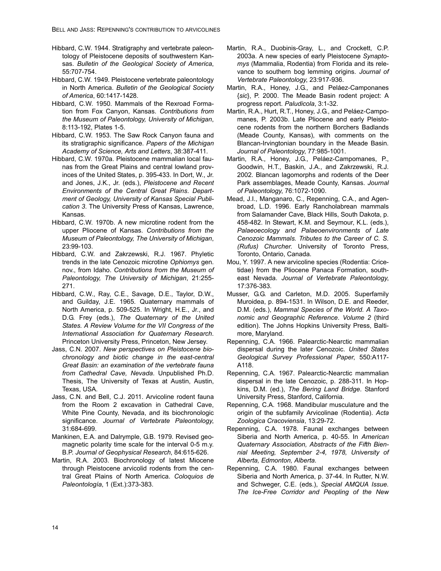- Hibbard, C.W. 1944. Stratigraphy and vertebrate paleontology of Pleistocene deposits of southwestern Kansas. *Bulletin of the Geological Society of America*, 55:707-754.
- Hibbard, C.W. 1949. Pleistocene vertebrate paleontology in North America. *Bulletin of the Geological Society of America*, 60:1417-1428.
- Hibbard, C.W. 1950. Mammals of the Rexroad Formation from Fox Canyon, Kansas. *Contributions from the Museum of Paleontology, University of Michigan*, 8:113-192, Plates 1-5.
- Hibbard, C.W. 1953. The Saw Rock Canyon fauna and its stratigraphic significance. *Papers of the Michigan Academy of Science, Arts and Letters*, 38:387-411.
- Hibbard, C.W. 1970a. Pleistocene mammalian local faunas from the Great Plains and central lowland provinces of the United States, p. 395-433. In Dort, W., Jr. and Jones, J.K., Jr. (eds.), *Pleistocene and Recent Environments of the Central Great Plains*. *Department of Geology, University of Kansas Special Publication 3*. The University Press of Kansas, Lawrence, Kansas.
- Hibbard, C.W. 1970b. A new microtine rodent from the upper Pliocene of Kansas. *Contributions from the Museum of Paleontology, The University of Michigan*, 23:99-103.
- Hibbard, C.W. and Zakrzewski, R.J. 1967. Phyletic trends in the late Cenozoic microtine *Ophiomys* gen. nov., from Idaho. *Contributions from the Museum of Paleontology, The University of Michigan*, 21:255- 271.
- Hibbard, C.W., Ray, C.E., Savage, D.E., Taylor, D.W., and Guilday, J.E. 1965. Quaternary mammals of North America, p. 509-525. In Wright, H.E., Jr., and D.G. Frey (eds.), *The Quaternary of the United States. A Review Volume for the VII Congress of the International Association for Quaternary Research*. Princeton University Press, Princeton, New Jersey.
- Jass, C.N. 2007. *New perspectives on Pleistocene biochronology and biotic change in the east-central Great Basin: an examination of the vertebrate fauna from Cathedral Cave, Nevada*. Unpublished Ph.D. Thesis, The University of Texas at Austin, Austin, Texas, USA.
- Jass, C.N. and Bell, C.J. 2011. Arvicoline rodent fauna from the Room 2 excavation in Cathedral Cave, White Pine County, Nevada, and its biochronologic significance. *Journal of Vertebrate Paleontology*, 31:684-699.
- Mankinen, E.A. and Dalrymple, G.B. 1979. Revised geomagnetic polarity time scale for the interval 0-5 m.y. B.P. *Journal of Geophysical Research*, 84:615-626.
- Martin, R.A. 2003. Biochronology of latest Miocene through Pleistocene arvicolid rodents from the central Great Plains of North America. *Coloquios de Paleontología*, 1 (Ext.):373-383.
- Martin, R.A., Duobinis-Gray, L., and Crockett, C.P. 2003a. A new species of early Pleistocene *Synaptomys* (Mammalia, Rodentia) from Florida and its relevance to southern bog lemming origins. *Journal of Vertebrate Paleontology*, 23:917-936.
- Martin, R.A., Honey, J.G., and Peláez-Camponanes {*sic*}, P. 2000. The Meade Basin rodent project: A progress report. *Paludicola*, 3:1-32.
- Martin, R.A., Hurt, R.T., Honey, J.G., and Peláez-Campomanes, P. 2003b. Late Pliocene and early Pleistocene rodents from the northern Borchers Badlands (Meade County, Kansas), with comments on the Blancan-Irvingtonian boundary in the Meade Basin. *Journal of Paleontology*, 77:985-1001.
- Martin, R.A., Honey, J.G., Peláez-Campomanes, P., Goodwin, H.T., Baskin, J.A., and Zakrzewski, R.J. 2002. Blancan lagomorphs and rodents of the Deer Park assemblages, Meade County, Kansas. *Journal of Paleontology*, 76:1072-1090.
- Mead, J.I., Manganaro, C., Repenning, C.A., and Agenbroad, L.D. 1996. Early Rancholabrean mammals from Salamander Cave, Black Hills, South Dakota, p. 458-482. In Stewart, K.M. and Seymour, K.L. (eds.), *Palaeoecology and Palaeoenvironments of Late Cenozoic Mammals. Tributes to the Career of C. S. (Rufus) Churcher*. University of Toronto Press, Toronto, Ontario, Canada.
- Mou, Y. 1997. A new arvicoline species (Rodentia: Cricetidae) from the Pliocene Panaca Formation, southeast Nevada. *Journal of Vertebrate Paleontology*, 17:376-383.
- Musser, G.G. and Carleton, M.D. 2005. Superfamily Muroidea, p. 894-1531. In Wilson, D.E. and Reeder, D.M. (eds.), *Mammal Species of the World. A Taxonomic and Geographic Reference*. *Volume 2* (third edition). The Johns Hopkins University Press, Baltimore, Maryland.
- Repenning, C.A. 1966. Palearctic-Nearctic mammalian dispersal during the later Cenozoic. *United States Geological Survey Professional Paper*, 550:A117- A118.
- Repenning, C.A. 1967. Palearctic-Nearctic mammalian dispersal in the late Cenozoic, p. 288-311. In Hopkins, D.M. (ed.), *The Bering Land Bridge*. Stanford University Press, Stanford, California.
- Repenning, C.A. 1968. Mandibular musculature and the origin of the subfamily Arvicolinae (Rodentia). *Acta Zoologica Cracoviensia*, 13:29-72.
- Repenning, C.A. 1978. Faunal exchanges between Siberia and North America, p. 40-55. In *American Quaternary Association, Abstracts of the Fifth Biennial Meeting, September 2-4, 1978, University of Alberta, Edmonton, Alberta*.
- Repenning, C.A. 1980. Faunal exchanges between Siberia and North America, p. 37-44. In Rutter, N.W. and Schweger, C.E. (eds.), *Special AMQUA Issue. The Ice-Free Corridor and Peopling of the New*